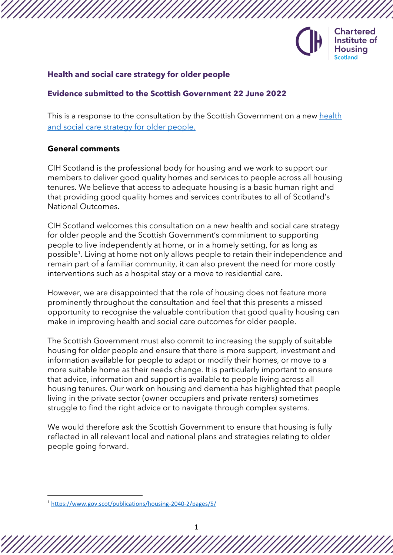

### **Health and social care strategy for older people**

### **Evidence submitted to the Scottish Government 22 June 2022**

This is a response to the consultation by the Scottish Government on a new [health](https://www.gov.scot/publications/consultation-health-social-care-strategy-older-people/)  [and social care strategy for older people.](https://www.gov.scot/publications/consultation-health-social-care-strategy-older-people/)

#### **General comments**

CIH Scotland is the professional body for housing and we work to support our members to deliver good quality homes and services to people across all housing tenures. We believe that access to adequate housing is a basic human right and that providing good quality homes and services contributes to all of Scotland's National Outcomes.

CIH Scotland welcomes this consultation on a new health and social care strategy for older people and the Scottish Government's commitment to supporting people to live independently at home, or in a homely setting, for as long as possible<sup>1</sup>. Living at home not only allows people to retain their independence and remain part of a familiar community, it can also prevent the need for more costly interventions such as a hospital stay or a move to residential care.

However, we are disappointed that the role of housing does not feature more prominently throughout the consultation and feel that this presents a missed opportunity to recognise the valuable contribution that good quality housing can make in improving health and social care outcomes for older people.

The Scottish Government must also commit to increasing the supply of suitable housing for older people and ensure that there is more support, investment and information available for people to adapt or modify their homes, or move to a more suitable home as their needs change. It is particularly important to ensure that advice, information and support is available to people living across all housing tenures. Our work on housing and dementia has highlighted that people living in the private sector (owner occupiers and private renters) sometimes struggle to find the right advice or to navigate through complex systems.

We would therefore ask the Scottish Government to ensure that housing is fully reflected in all relevant local and national plans and strategies relating to older people going forward.

<sup>1</sup> <https://www.gov.scot/publications/housing-2040-2/pages/5/>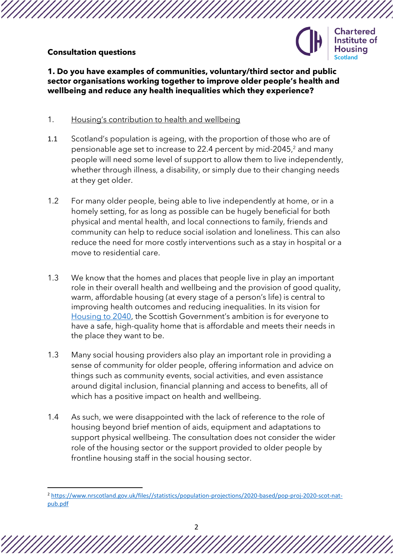# **Consultation questions**



**1. Do you have examples of communities, voluntary/third sector and public sector organisations working together to improve older people's health and wellbeing and reduce any health inequalities which they experience?**

# 1. Housing's contribution to health and wellbeing

- 1.1 Scotland's population is ageing, with the proportion of those who are of pensionable age set to increase to 22.4 percent by mid-2045,<sup>2</sup> and many people will need some level of support to allow them to live independently, whether through illness, a disability, or simply due to their changing needs at they get older.
- 1.2 For many older people, being able to live independently at home, or in a homely setting, for as long as possible can be hugely beneficial for both physical and mental health, and local connections to family, friends and community can help to reduce social isolation and loneliness. This can also reduce the need for more costly interventions such as a stay in hospital or a move to residential care.
- 1.3 We know that the homes and places that people live in play an important role in their overall health and wellbeing and the provision of good quality, warm, affordable housing (at every stage of a person's life) is central to improving health outcomes and reducing inequalities. In its vision for [Housing to 2040](https://www.gov.scot/publications/housing-2040-2/), the Scottish Government's ambition is for everyone to have a safe, high-quality home that is affordable and meets their needs in the place they want to be.
- 1.3 Many social housing providers also play an important role in providing a sense of community for older people, offering information and advice on things such as community events, social activities, and even assistance around digital inclusion, financial planning and access to benefits, all of which has a positive impact on health and wellbeing.
- 1.4 As such, we were disappointed with the lack of reference to the role of housing beyond brief mention of aids, equipment and adaptations to support physical wellbeing. The consultation does not consider the wider role of the housing sector or the support provided to older people by frontline housing staff in the social housing sector.

<sup>2</sup> [https://www.nrscotland.gov.uk/files//statistics/population-projections/2020-based/pop-proj-2020-scot-nat](https://www.nrscotland.gov.uk/files/statistics/population-projections/2020-based/pop-proj-2020-scot-nat-pub.pdf)[pub.pdf](https://www.nrscotland.gov.uk/files/statistics/population-projections/2020-based/pop-proj-2020-scot-nat-pub.pdf)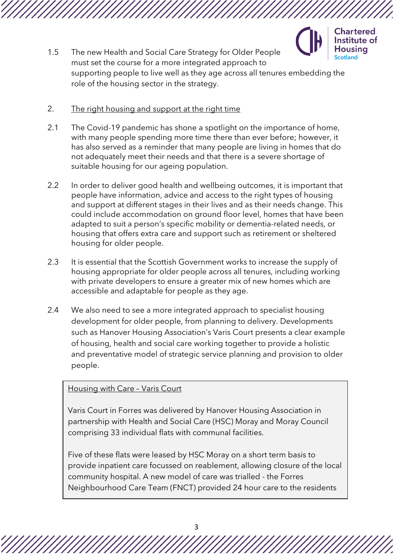

1.5 The new Health and Social Care Strategy for Older People must set the course for a more integrated approach to supporting people to live well as they age across all tenures embedding the role of the housing sector in the strategy.

### 2. The right housing and support at the right time

- 2.1 The Covid-19 pandemic has shone a spotlight on the importance of home, with many people spending more time there than ever before; however, it has also served as a reminder that many people are living in homes that do not adequately meet their needs and that there is a severe shortage of suitable housing for our ageing population.
- 2.2 In order to deliver good health and wellbeing outcomes, it is important that people have information, advice and access to the right types of housing and support at different stages in their lives and as their needs change. This could include accommodation on ground floor level, homes that have been adapted to suit a person's specific mobility or dementia-related needs, or housing that offers extra care and support such as retirement or sheltered housing for older people.
- 2.3 It is essential that the Scottish Government works to increase the supply of housing appropriate for older people across all tenures, including working with private developers to ensure a greater mix of new homes which are accessible and adaptable for people as they age.
- 2.4 We also need to see a more integrated approach to specialist housing development for older people, from planning to delivery. Developments such as Hanover Housing Association's Varis Court presents a clear example of housing, health and social care working together to provide a holistic and preventative model of strategic service planning and provision to older people.

# Housing with Care – Varis Court

Varis Court in Forres was delivered by Hanover Housing Association in partnership with Health and Social Care (HSC) Moray and Moray Council comprising 33 individual flats with communal facilities.

Five of these flats were leased by HSC Moray on a short term basis to provide inpatient care focussed on reablement, allowing closure of the local community hospital. A new model of care was trialled - the Forres Neighbourhood Care Team (FNCT) provided 24 hour care to the residents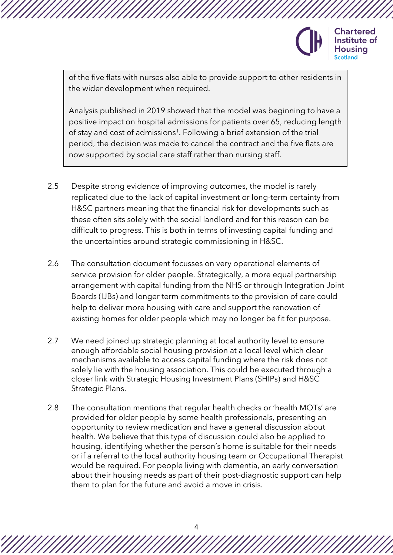

**Chartered** Institute of Housina

of the five flats with nurses also able to provide support to other residents in the wider development when required.

Analysis published in 2019 showed that the model was beginning to have a positive impact on hospital admissions for patients over 65, reducing length of stay and cost of admissions<sup>1</sup>. Following a brief extension of the trial period, the decision was made to cancel the contract and the five flats are now supported by social care staff rather than nursing staff.

- 2.5 Despite strong evidence of improving outcomes, the model is rarely replicated due to the lack of capital investment or long-term certainty from H&SC partners meaning that the financial risk for developments such as these often sits solely with the social landlord and for this reason can be difficult to progress. This is both in terms of investing capital funding and the uncertainties around strategic commissioning in H&SC.
- 2.6 The consultation document focusses on very operational elements of service provision for older people. Strategically, a more equal partnership arrangement with capital funding from the NHS or through Integration Joint Boards (IJBs) and longer term commitments to the provision of care could help to deliver more housing with care and support the renovation of existing homes for older people which may no longer be fit for purpose.
- 2.7 We need joined up strategic planning at local authority level to ensure enough affordable social housing provision at a local level which clear mechanisms available to access capital funding where the risk does not solely lie with the housing association. This could be executed through a closer link with Strategic Housing Investment Plans (SHIPs) and H&SC Strategic Plans.
- 2.8 The consultation mentions that regular health checks or 'health MOTs' are provided for older people by some health professionals, presenting an opportunity to review medication and have a general discussion about health. We believe that this type of discussion could also be applied to housing, identifying whether the person's home is suitable for their needs or if a referral to the local authority housing team or Occupational Therapist would be required. For people living with dementia, an early conversation about their housing needs as part of their post-diagnostic support can help them to plan for the future and avoid a move in crisis.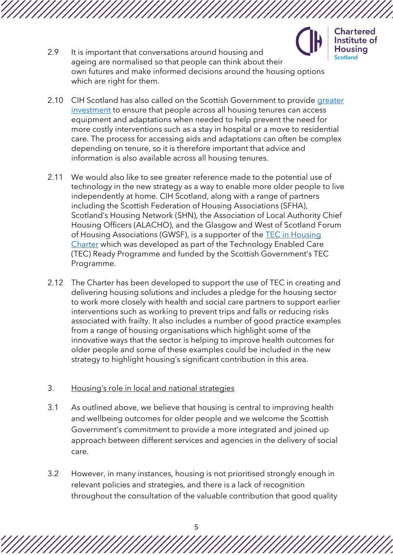

**Chartered** Institute of **Housing Scotland** 

- 2.9 It is important that conversations around housing and ageing are normalised so that people can think about their own futures and make informed decisions around the housing options which are right for them.
- 2.10 CIH Scotland has also called on the Scottish Government to provide [greater](https://www.cih.org/news/cih-scotland-calls-for-more-resources-to-deliver-adaptations)  [investment](https://www.cih.org/news/cih-scotland-calls-for-more-resources-to-deliver-adaptations) to ensure that people across all housing tenures can access equipment and adaptations when needed to help prevent the need for more costly interventions such as a stay in hospital or a move to residential care. The process for accessing aids and adaptations can often be complex depending on tenure, so it is therefore important that advice and information is also available across all housing tenures.
- 2.11 We would also like to see greater reference made to the potential use of technology in the new strategy as a way to enable more older people to live independently at home. CIH Scotland, along with a range of partners including the Scottish Federation of Housing Associations (SFHA), Scotland's Housing Network (SHN), the Association of Local Authority Chief Housing Officers (ALACHO), and the Glasgow and West of Scotland Forum of Housing Associations (GWSF), is a supporter of the [TEC in Housing](https://techousing.co.uk/the-charter-pledges/)  [Charter](https://techousing.co.uk/the-charter-pledges/) which was developed as part of the Technology Enabled Care (TEC) Ready Programme and funded by the Scottish Government's TEC Programme.
- 2.12 The Charter has been developed to support the use of TEC in creating and delivering housing solutions and includes a pledge for the housing sector to work more closely with health and social care partners to support earlier interventions such as working to prevent trips and falls or reducing risks associated with frailty. It also includes a number of good practice examples from a range of housing organisations which highlight some of the innovative ways that the sector is helping to improve health outcomes for older people and some of these examples could be included in the new strategy to highlight housing's significant contribution in this area.
- 3. Housing's role in local and national strategies
- 3.1 As outlined above, we believe that housing is central to improving health and wellbeing outcomes for older people and we welcome the Scottish Government's commitment to provide a more integrated and joined up approach between different services and agencies in the delivery of social care.
- 3.2 However, in many instances, housing is not prioritised strongly enough in relevant policies and strategies, and there is a lack of recognition throughout the consultation of the valuable contribution that good quality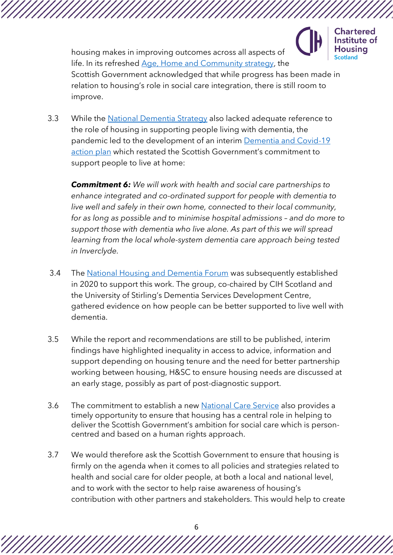

**Chartered** Institute of **Housing** 

housing makes in improving outcomes across all aspects of life. In its refreshed [Age, Home and Community](https://www.gov.scot/publications/age-home-community-next-phase/pages/8/) strategy, the Scottish Government acknowledged that while progress has been made in relation to housing's role in social care integration, there is still room to improve.

3.3 While the [National Dementia Strategy](https://www.gov.scot/publications/scotlands-national-dementia-strategy-2017-2020/) also lacked adequate reference to the role of housing in supporting people living with dementia, the pandemic led to the development of an interim [Dementia and Covid-19](https://www.gov.scot/publications/dementia-covid-19-national-action-plan-continue-support-recovery-people-dementia-carers/)  [action plan](https://www.gov.scot/publications/dementia-covid-19-national-action-plan-continue-support-recovery-people-dementia-carers/) which restated the Scottish Government's commitment to support people to live at home:

*Commitment 6: We will work with health and social care partnerships to enhance integrated and co-ordinated support for people with dementia to live well and safely in their own home, connected to their local community, for as long as possible and to minimise hospital admissions – and do more to support those with dementia who live alone. As part of this we will spread learning from the local whole-system dementia care approach being tested in Inverclyde.*

- 3.4 The [National Housing and Dementia Forum](https://www.cih.org/blogs-and-articles/making-housing-and-dementia-a-national-priority) was subsequently established in 2020 to support this work. The group, co-chaired by CIH Scotland and the University of Stirling's Dementia Services Development Centre, gathered evidence on how people can be better supported to live well with dementia.
- 3.5 While the report and recommendations are still to be published, interim findings have highlighted inequality in access to advice, information and support depending on housing tenure and the need for better partnership working between housing, H&SC to ensure housing needs are discussed at an early stage, possibly as part of post-diagnostic support.
- 3.6 The commitment to establish a new [National Care Service](https://www.gov.scot/publications/national-care-service-scotland-consultation/pages/2/) also provides a timely opportunity to ensure that housing has a central role in helping to deliver the Scottish Government's ambition for social care which is personcentred and based on a human rights approach.
- 3.7 We would therefore ask the Scottish Government to ensure that housing is firmly on the agenda when it comes to all policies and strategies related to health and social care for older people, at both a local and national level, and to work with the sector to help raise awareness of housing's contribution with other partners and stakeholders. This would help to create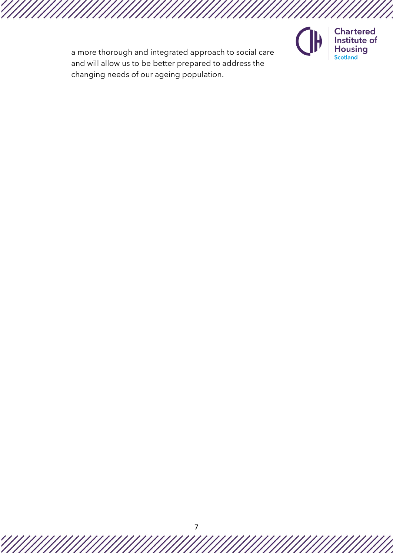

**Chartered** Institute of **Housing**<br>Scotland

a more thorough and integrated approach to social care and will allow us to be better prepared to address the changing needs of our ageing population.